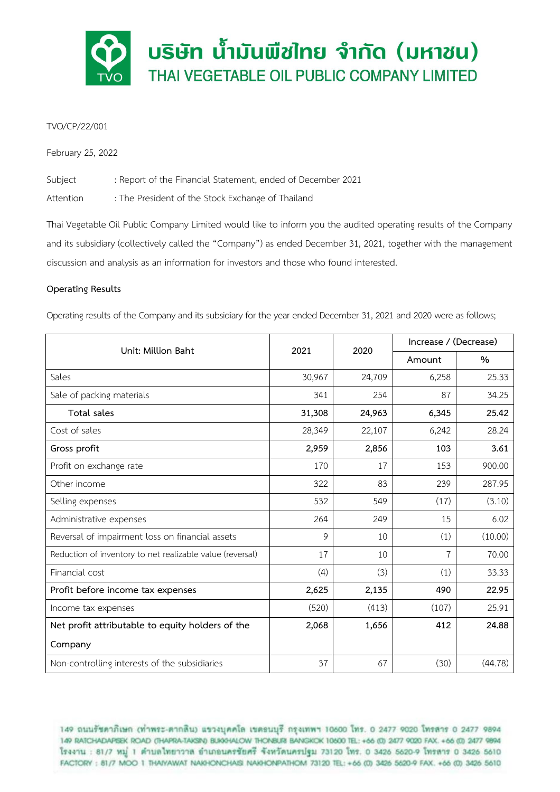

# TVO/CP/22/001

February 25, 2022

Subject : Report of the Financial Statement, ended of December 2021

Attention : The President of the Stock Exchange of Thailand

Thai Vegetable Oil Public Company Limited would like to inform you the audited operating results of the Company and its subsidiary (collectively called the "Company") as ended December 31, 2021, together with the management discussion and analysis as an information for investors and those who found interested.

# **Operating Results**

Operating results of the Company and its subsidiary for the year ended December 31, 2021 and 2020 were as follows;

| Unit: Million Baht                                        | 2021   | 2020   | Increase / (Decrease) |         |
|-----------------------------------------------------------|--------|--------|-----------------------|---------|
|                                                           |        |        | Amount                | %       |
| Sales                                                     | 30,967 | 24,709 | 6,258                 | 25.33   |
| Sale of packing materials                                 | 341    | 254    | 87                    | 34.25   |
| Total sales                                               | 31,308 | 24,963 | 6,345                 | 25.42   |
| Cost of sales                                             | 28,349 | 22,107 | 6,242                 | 28.24   |
| Gross profit                                              | 2,959  | 2,856  | 103                   | 3.61    |
| Profit on exchange rate                                   | 170    | 17     | 153                   | 900.00  |
| Other income                                              | 322    | 83     | 239                   | 287.95  |
| Selling expenses                                          | 532    | 549    | (17)                  | (3.10)  |
| Administrative expenses                                   | 264    | 249    | 15                    | 6.02    |
| Reversal of impairment loss on financial assets           | 9      | 10     | (1)                   | (10.00) |
| Reduction of inventory to net realizable value (reversal) | 17     | 10     | $\overline{7}$        | 70.00   |
| Financial cost                                            | (4)    | (3)    | (1)                   | 33.33   |
| Profit before income tax expenses                         | 2,625  | 2,135  | 490                   | 22.95   |
| Income tax expenses                                       | (520)  | (413)  | (107)                 | 25.91   |
| Net profit attributable to equity holders of the          | 2,068  | 1,656  | 412                   | 24.88   |
| Company                                                   |        |        |                       |         |
| Non-controlling interests of the subsidiaries             | 37     | 67     | (30)                  | (44.78) |

149 ถนนรัชดาภิเษก (ท่าพระ-ตากลิน) แขวงบุคคโล เขตอนบุรี กรุงเทพฯ 10600 โทร. 0 2477 9020 โทรสาร 0 2477 9894 149 RATCHADAPSEK ROAD (THAPRA-TAKSIN) BUKKHALOW THONBURI BANGKOK 10600 TEL: +66 (0) 2477 9020 FAX. +66 (0) 2477 9894 โรงงาน : 81/7 หมู่ 1 ตำบลไทยาวาล อำเภอนครชัยศรี จังหวัดนครปฐม 73120 โทร. 0 3426 5620-9 โทรสาร 0 3426 5610 FACTORY: 81/7 MOO 1 THATYAWAT NAKHONCHAISI NAKHONPATHOM 73120 TEL: +66 (0) 3426 5620-9 FAX. +66 (0) 3426 5610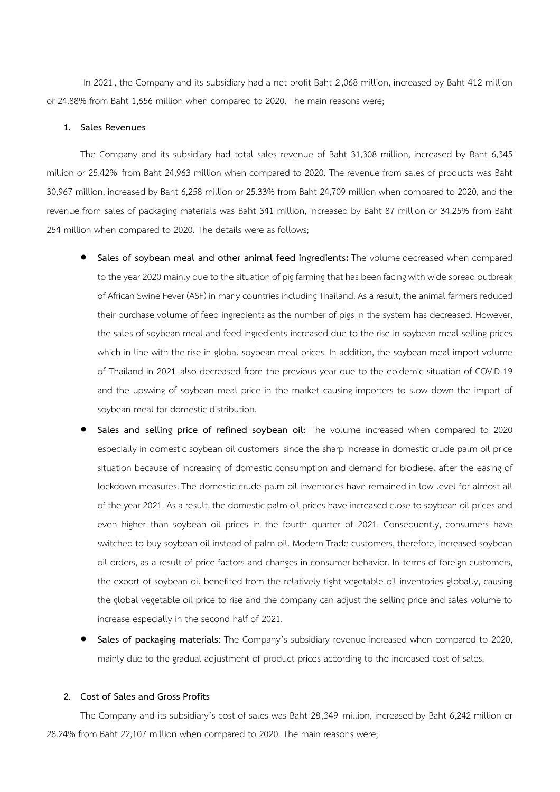In 2021, the Company and its subsidiary had a net profit Baht 2,068 million, increased by Baht 412 million or 24.88% from Baht 1,656 million when compared to 2020. The main reasons were;

#### **1. Sales Revenues**

The Company and its subsidiary had total sales revenue of Baht 31,308 million, increased by Baht 6,345 million or 25.42% from Baht 24,963 million when compared to 2020. The revenue from sales of products was Baht 30,967 million, increased by Baht 6,258 million or 25.33% from Baht 24,709 million when compared to 2020, and the revenue from sales of packaging materials was Baht 341 million, increased by Baht 87 million or 34.25% from Baht 254 million when compared to 2020. The details were as follows;

- **Sales of soybean meal and other animal feed ingredients:** The volume decreased when compared to the year 2020 mainly due to the situation of pig farming that has been facing with wide spread outbreak of African Swine Fever (ASF) in many countries including Thailand. As a result, the animal farmers reduced their purchase volume of feed ingredients as the number of pigs in the system has decreased. However, the sales of soybean meal and feed ingredients increased due to the rise in soybean meal selling prices which in line with the rise in global soybean meal prices. In addition, the soybean meal import volume of Thailand in 2021 also decreased from the previous year due to the epidemic situation of COVID-19 and the upswing of soybean meal price in the market causing importers to slow down the import of soybean meal for domestic distribution.
- **Sales and selling price of refined soybean oil:** The volume increased when compared to 2020 especially in domestic soybean oil customers since the sharp increase in domestic crude palm oil price situation because of increasing of domestic consumption and demand for biodiesel after the easing of lockdown measures.The domestic crude palm oil inventories have remained in low level for almost all of the year 2021. As a result, the domestic palm oil prices have increased close to soybean oil prices and even higher than soybean oil prices in the fourth quarter of 2021. Consequently, consumers have switched to buy soybean oil instead of palm oil. Modern Trade customers, therefore, increased soybean oil orders, as a result of price factors and changes in consumer behavior. In terms of foreign customers, the export of soybean oil benefited from the relatively tight vegetable oil inventories globally, causing the global vegetable oil price to rise and the company can adjust the selling price and sales volume to increase especially in the second half of 2021.
- **Sales of packaging materials**: The Company's subsidiary revenue increased when compared to 2020, mainly due to the gradual adjustment of product prices according to the increased cost of sales.

#### **2. Cost of Sales and Gross Profits**

The Company and its subsidiary's cost of sales was Baht 28,349 million, increased by Baht 6,242 million or 28.24% from Baht 22,107 million when compared to 2020. The main reasons were;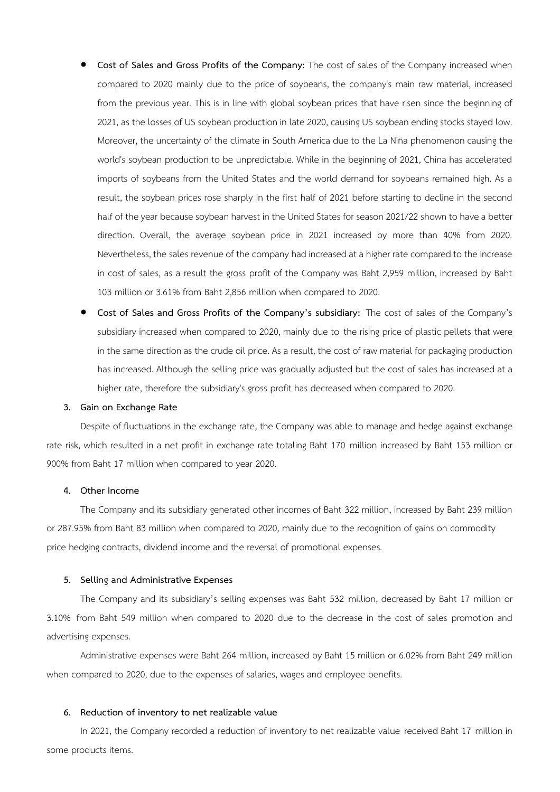- **Cost of Sales and Gross Profits of the Company:** The cost of sales of the Company increased when compared to 2020 mainly due to the price of soybeans, the company's main raw material, increased from the previous year. This is in line with global soybean prices that have risen since the beginning of 2021, as the losses of US soybean production in late 2020, causing US soybean ending stocks stayed low. Moreover, the uncertainty of the climate in South America due to the La Niña phenomenon causing the world's soybean production to be unpredictable. While in the beginning of 2021, China has accelerated imports of soybeans from the United States and the world demand for soybeans remained high. As a result, the soybean prices rose sharply in the first half of 2021 before starting to decline in the second half of the year because soybean harvest in the United States for season 2021/22 shown to have a better direction. Overall, the average soybean price in 2021 increased by more than 40% from 2020. Nevertheless, the sales revenue of the company had increased at a higher rate compared to the increase in cost of sales, as a result the gross profit of the Company was Baht 2,959 million, increased by Baht 103 million or 3.61% from Baht 2,856 million when compared to 2020.
- **Cost of Sales and Gross Profits of the Company's subsidiary:** The cost of sales of the Company's subsidiary increased when compared to 2020, mainly due to the rising price of plastic pellets that were in the same direction as the crude oil price. As a result, the cost of raw material for packaging production has increased. Although the selling price was gradually adjusted but the cost of sales has increased at a higher rate, therefore the subsidiary's gross profit has decreased when compared to 2020.

### **3. Gain on Exchange Rate**

Despite of fluctuations in the exchange rate, the Company was able to manage and hedge against exchange rate risk, which resulted in a net profit in exchange rate totaling Baht 170 million increased by Baht 153 million or 900% from Baht 17 million when compared to year 2020.

#### **4. Other Income**

The Company and its subsidiary generated other incomes of Baht 322 million, increased by Baht 239 million or 287.95% from Baht 83 million when compared to 2020, mainly due to the recognition of gains on commodity price hedging contracts, dividend income and the reversal of promotional expenses.

### **5. Selling and Administrative Expenses**

The Company and its subsidiary's selling expenses was Baht 532 million, decreased by Baht 17 million or 3.10% from Baht 549 million when compared to 2020 due to the decrease in the cost of sales promotion and advertising expenses.

Administrative expenses were Baht 264 million, increased by Baht 15 million or 6.02% from Baht 249 million when compared to 2020, due to the expenses of salaries, wages and employee benefits.

#### **6. Reduction of inventory to net realizable value**

In 2021, the Company recorded a reduction of inventory to net realizable value received Baht 17 million in some products items.